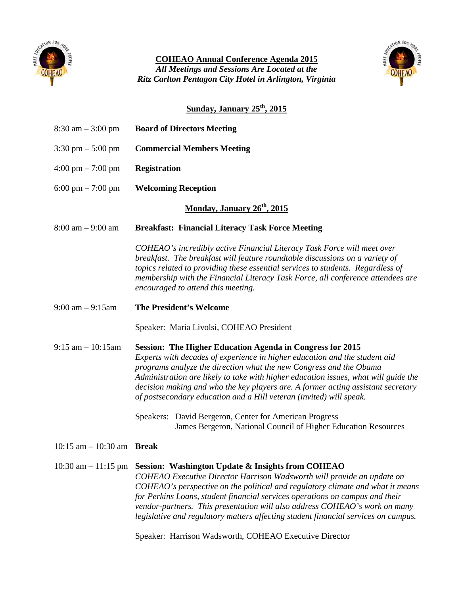

*All Meetings and Sessions Are Located at the* **COHEAO Annual Conference Agenda 2015** *Ritz Carlton Pentagon City Hotel in Arlington, Virginia*



# **Sunday, January 25th, 2015**

| $8:30 \text{ am} - 3:00 \text{ pm}$     | <b>Board of Directors Meeting</b>                                                                                                                                                                                                                                                                                                                                                                                                                                                                                           |  |  |  |
|-----------------------------------------|-----------------------------------------------------------------------------------------------------------------------------------------------------------------------------------------------------------------------------------------------------------------------------------------------------------------------------------------------------------------------------------------------------------------------------------------------------------------------------------------------------------------------------|--|--|--|
| $3:30 \text{ pm} - 5:00 \text{ pm}$     | <b>Commercial Members Meeting</b>                                                                                                                                                                                                                                                                                                                                                                                                                                                                                           |  |  |  |
| $4:00 \text{ pm} - 7:00 \text{ pm}$     | <b>Registration</b>                                                                                                                                                                                                                                                                                                                                                                                                                                                                                                         |  |  |  |
| $6:00 \text{ pm} - 7:00 \text{ pm}$     | <b>Welcoming Reception</b>                                                                                                                                                                                                                                                                                                                                                                                                                                                                                                  |  |  |  |
| Monday, January 26 <sup>th</sup> , 2015 |                                                                                                                                                                                                                                                                                                                                                                                                                                                                                                                             |  |  |  |
| $8:00 \text{ am} - 9:00 \text{ am}$     | <b>Breakfast: Financial Literacy Task Force Meeting</b>                                                                                                                                                                                                                                                                                                                                                                                                                                                                     |  |  |  |
|                                         | COHEAO's incredibly active Financial Literacy Task Force will meet over<br>breakfast. The breakfast will feature roundtable discussions on a variety of<br>topics related to providing these essential services to students. Regardless of<br>membership with the Financial Literacy Task Force, all conference attendees are<br>encouraged to attend this meeting.                                                                                                                                                         |  |  |  |
| $9:00$ am $-9:15$ am                    | <b>The President's Welcome</b>                                                                                                                                                                                                                                                                                                                                                                                                                                                                                              |  |  |  |
|                                         | Speaker: Maria Livolsi, COHEAO President                                                                                                                                                                                                                                                                                                                                                                                                                                                                                    |  |  |  |
| $9:15$ am $-10:15$ am                   | <b>Session: The Higher Education Agenda in Congress for 2015</b><br>Experts with decades of experience in higher education and the student aid<br>programs analyze the direction what the new Congress and the Obama<br>Administration are likely to take with higher education issues, what will guide the<br>decision making and who the key players are. A former acting assistant secretary<br>of postsecondary education and a Hill veteran (invited) will speak.                                                      |  |  |  |
|                                         | Speakers: David Bergeron, Center for American Progress<br>James Bergeron, National Council of Higher Education Resources                                                                                                                                                                                                                                                                                                                                                                                                    |  |  |  |
| 10:15 am $-$ 10:30 am Break             |                                                                                                                                                                                                                                                                                                                                                                                                                                                                                                                             |  |  |  |
| $10:30$ am $-11:15$ pm                  | Session: Washington Update & Insights from COHEAO<br>COHEAO Executive Director Harrison Wadsworth will provide an update on<br>COHEAO's perspective on the political and regulatory climate and what it means<br>for Perkins Loans, student financial services operations on campus and their<br>vendor-partners. This presentation will also address COHEAO's work on many<br>legislative and regulatory matters affecting student financial services on campus.<br>Speaker: Harrison Wadsworth, COHEAO Executive Director |  |  |  |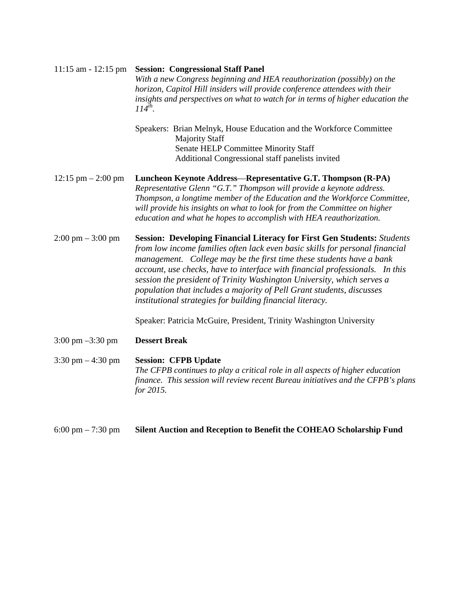| $11:15$ am - $12:15$ pm              | <b>Session: Congressional Staff Panel</b><br>With a new Congress beginning and HEA reauthorization (possibly) on the<br>horizon, Capitol Hill insiders will provide conference attendees with their<br>insights and perspectives on what to watch for in terms of higher education the<br>$114^{th}$ .                                                                                                                                                                                                                                 |  |
|--------------------------------------|----------------------------------------------------------------------------------------------------------------------------------------------------------------------------------------------------------------------------------------------------------------------------------------------------------------------------------------------------------------------------------------------------------------------------------------------------------------------------------------------------------------------------------------|--|
|                                      | Speakers: Brian Melnyk, House Education and the Workforce Committee<br><b>Majority Staff</b><br>Senate HELP Committee Minority Staff<br>Additional Congressional staff panelists invited                                                                                                                                                                                                                                                                                                                                               |  |
| $12:15 \text{ pm} - 2:00 \text{ pm}$ | Luncheon Keynote Address-Representative G.T. Thompson (R-PA)<br>Representative Glenn "G.T." Thompson will provide a keynote address.<br>Thompson, a longtime member of the Education and the Workforce Committee,<br>will provide his insights on what to look for from the Committee on higher<br>education and what he hopes to accomplish with HEA reauthorization.                                                                                                                                                                 |  |
| $2:00 \text{ pm} - 3:00 \text{ pm}$  | <b>Session: Developing Financial Literacy for First Gen Students: Students</b><br>from low income families often lack even basic skills for personal financial<br>management. College may be the first time these students have a bank<br>account, use checks, have to interface with financial professionals. In this<br>session the president of Trinity Washington University, which serves a<br>population that includes a majority of Pell Grant students, discusses<br>institutional strategies for building financial literacy. |  |
|                                      | Speaker: Patricia McGuire, President, Trinity Washington University                                                                                                                                                                                                                                                                                                                                                                                                                                                                    |  |
| 3:00 pm $-3:30$ pm                   | <b>Dessert Break</b>                                                                                                                                                                                                                                                                                                                                                                                                                                                                                                                   |  |
| $3:30 \text{ pm} - 4:30 \text{ pm}$  | <b>Session: CFPB Update</b><br>The CFPB continues to play a critical role in all aspects of higher education<br>finance. This session will review recent Bureau initiatives and the CFPB's plans<br>for 2015.                                                                                                                                                                                                                                                                                                                          |  |
| $6:00 \text{ pm} - 7:30 \text{ pm}$  | Silent Auction and Reception to Benefit the COHEAO Scholarship Fund                                                                                                                                                                                                                                                                                                                                                                                                                                                                    |  |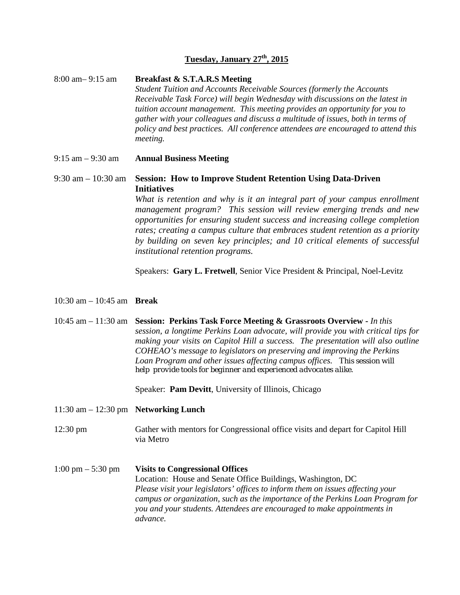### **Tuesday, January 27th, 2015**

8:00 am– 9:15 am **Breakfast & S.T.A.R.S Meeting** *Student Tuition and Accounts Receivable Sources (formerly the Accounts Receivable Task Force) will begin Wednesday with discussions on the latest in tuition account management. This meeting provides an opportunity for you to gather with your colleagues and discuss a multitude of issues, both in terms of policy and best practices. All conference attendees are encouraged to attend this meeting.*

9:15 am – 9:30 am **Annual Business Meeting**

## 9:30 am – 10:30 am **Session: How to Improve Student Retention Using Data-Driven Initiatives**

*What is retention and why is it an integral part of your campus enrollment management program? This session will review emerging trends and new opportunities for ensuring student success and increasing college completion rates; creating a campus culture that embraces student retention as a priority by building on seven key principles; and 10 critical elements of successful institutional retention programs.*

Speakers: **Gary L. Fretwell**, Senior Vice President & Principal, Noel-Levitz

#### 10:30 am – 10:45 am **Break**

10:45 am – 11:30 am **Session: Perkins Task Force Meeting & Grassroots Overview -** *In this session, a longtime Perkins Loan advocate, will provide you with critical tips for making your visits on Capitol Hill a success. The presentation will also outline COHEAO's message to legislators on preserving and improving the Perkins Loan Program and other issues affecting campus offices.* T*his session will help provide tools for beginner and experienced advocates alike.*

Speaker: **Pam Devitt**, University of Illinois, Chicago

- 11:30 am 12:30 pm **Networking Lunch**
- 12:30 pm Gather with mentors for Congressional office visits and depart for Capitol Hill via Metro
- 1:00 pm 5:30 pm **Visits to Congressional Offices** Location: House and Senate Office Buildings, Washington, DC *Please visit your legislators' offices to inform them on issues affecting your campus or organization, such as the importance of the Perkins Loan Program for you and your students. Attendees are encouraged to make appointments in advance.*